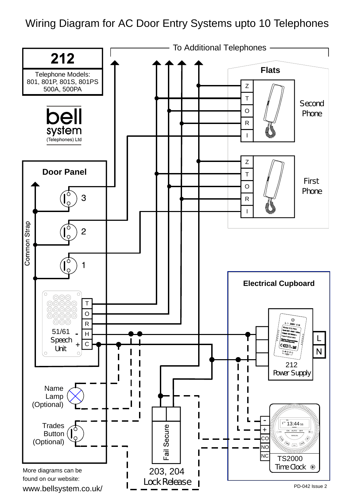Wiring Diagram for AC Door Entry Systems upto 10 Telephones